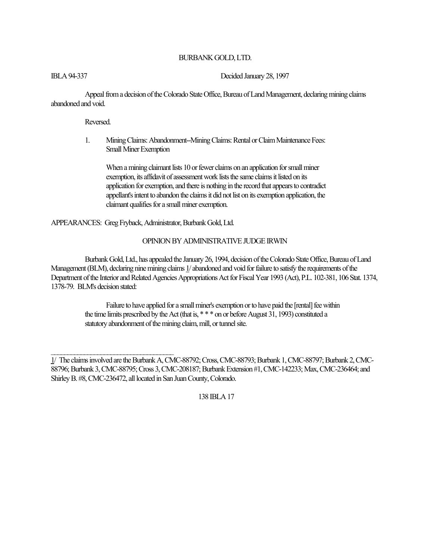# BURBANK GOLD, LTD.

IBLA 94-337 Decided January 28, 1997

Appeal from a decision of the Colorado State Office, Bureau of Land Management, declaring mining claims abandoned and void.

Reversed.

1. Mining Claims: Abandonment--Mining Claims: Rental or Claim Maintenance Fees: Small Miner Exemption

When a mining claimant lists 10 or fewer claims on an application for small miner exemption, its affidavit of assessment work lists the same claims it listed on its application for exemption, and there is nothing in the record that appears to contradict appellant's intent to abandon the claims it did not list on its exemption application, the claimant qualifies for a small miner exemption.

APPEARANCES: Greg Fryback, Administrator, Burbank Gold, Ltd.

## OPINION BY ADMINISTRATIVE JUDGE IRWIN

Burbank Gold, Ltd., has appealed the January 26, 1994, decision of the Colorado State Office, Bureau of Land Management (BLM), declaring nine mining claims 1/ abandoned and void for failure to satisfy the requirements of the Department of the Interior and Related Agencies Appropriations Act for Fiscal Year 1993 (Act), P.L. 102-381, 106 Stat. 1374, 1378-79. BLM's decision stated:

> Failure to have applied for a small miner's exemption or to have paid the [rental] fee within the time limits prescribed by the Act (that is, \*\*\* on or before August 31, 1993) constituted a statutory abandonment of the mining claim, mill, or tunnel site.

<sup>1/</sup> The claims involved are the Burbank A, CMC-88792; Cross, CMC-88793; Burbank 1, CMC-88797; Burbank 2, CMC-88796; Burbank 3, CMC-88795; Cross 3, CMC-208187; Burbank Extension #1, CMC-142233; Max, CMC-236464; and Shirley B. #8, CMC-236472, all located in San Juan County, Colorado.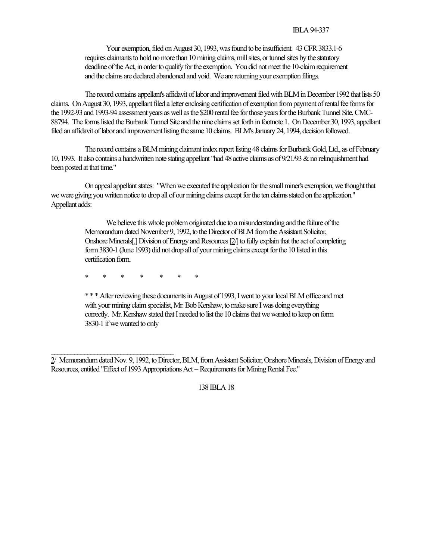#### IBLA 94-337

Your exemption, filed on August 30, 1993, was found to be insufficient. 43 CFR 3833.1-6 requires claimants to hold no more than 10 mining claims, mill sites, or tunnel sites by the statutory deadline of the Act, in order to qualify for the exemption. You did not meet the 10-claim requirement and the claims are declared abandoned and void. We are returning your exemption filings.

The record contains appellant's affidavit of labor and improvement filed with BLM in December 1992 that lists 50 claims. On August 30, 1993, appellant filed a letter enclosing certification of exemption from payment of rental fee forms for the 1992-93 and 1993-94 assessment years as well as the \$200 rental fee for those years for the Burbank Tunnel Site, CMC-88794. The forms listed the Burbank Tunnel Site and the nine claims set forth in footnote 1. On December 30, 1993, appellant filed an affidavit of labor and improvement listing the same 10 claims. BLM's January 24, 1994, decision followed.

The record contains a BLM mining claimant index report listing 48 claims for Burbank Gold, Ltd., as of February 10, 1993. It also contains a handwritten note stating appellant "had 48 active claims as of 9/21/93 & no relinquishment had been posted at that time."

On appeal appellant states: "When we executed the application for the small miner's exemption, we thought that we were giving you written notice to drop all of our mining claims except for the ten claims stated on the application." Appellant adds:

> We believe this whole problem originated due to a misunderstanding and the failure of the Memorandum dated November 9, 1992, to the Director of BLM from the Assistant Solicitor, Onshore Minerals[,] Division of Energy and Resources [2/] to fully explain that the act of completing form 3830-1 (June 1993) did not drop all of your mining claims except for the 10 listed in this certification form.

\* \* \* \* \* \* \*

\* \* \* After reviewing these documents in August of 1993, I went to your local BLM office and met with your mining claim specialist, Mr. Bob Kershaw, to make sure I was doing everything correctly. Mr. Kershaw stated that I needed to list the 10 claims that we wanted to keep on form 3830-1 if we wanted to only

2/ Memorandum dated Nov. 9, 1992, to Director, BLM, from Assistant Solicitor, Onshore Minerals, Division of Energy and Resources, entitled "Effect of 1993 Appropriations Act -- Requirements for Mining Rental Fee."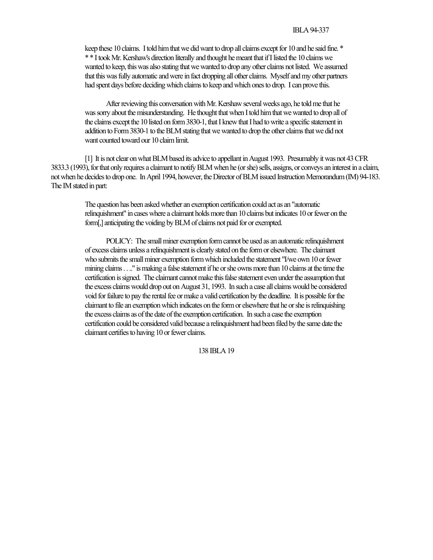keep these 10 claims. I told him that we did want to drop all claims except for 10 and he said fine. \* \* \* I took Mr. Kershaw's direction literally and thought he meant that if I listed the 10 claims we wanted to keep, this was also stating that we wanted to drop any other claims not listed. We assumed that this was fully automatic and were in fact dropping all other claims. Myself and my other partners had spent days before deciding which claims to keep and which ones to drop. I can prove this.

After reviewing this conversation with Mr. Kershaw several weeks ago, he told me that he was sorry about the misunderstanding. He thought that when I told him that we wanted to drop all of the claims except the 10 listed on form 3830-1, that I knew that I had to write a specific statement in addition to Form 3830-1 to the BLM stating that we wanted to drop the other claims that we did not want counted toward our 10 claim limit.

[1] It is not clear on what BLM based its advice to appellant in August 1993. Presumably it was not 43 CFR 3833.3 (1993), for that only requires a claimant to notify BLM when he (or she) sells, assigns, or conveys an interest in a claim, not when he decides to drop one. In April 1994, however, the Director of BLM issued Instruction Memorandum (IM) 94-183. The IM stated in part:

> The question has been asked whether an exemption certification could act as an "automatic relinquishment" in cases where a claimant holds more than 10 claims but indicates 10 or fewer on the form[,] anticipating the voiding by BLM of claims not paid for or exempted.

> POLICY: The small miner exemption form cannot be used as an automatic relinquishment of excess claims unless a relinquishment is clearly stated on the form or elsewhere. The claimant who submits the small miner exemption form which included the statement "I/we own 10 or fewer mining claims . . .." is making a false statement if he or she owns more than 10 claims at the time the certification is signed. The claimant cannot make this false statement even under the assumption that the excess claims would drop out on August 31, 1993. In such a case all claims would be considered void for failure to pay the rental fee or make a valid certification by the deadline. It is possible for the claimant to file an exemption which indicates on the form or elsewhere that he or she is relinquishing the excess claims as of the date of the exemption certification. In such a case the exemption certification could be considered valid because a relinquishment had been filed by the same date the claimant certifies to having 10 or fewer claims.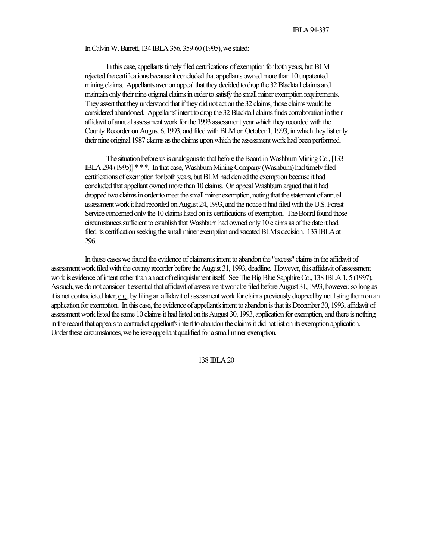### In Calvin W. Barrett, 134 IBLA 356, 359-60 (1995), we stated:

In this case, appellants timely filed certifications of exemption for both years, but BLM rejected the certifications because it concluded that appellants owned more than 10 unpatented mining claims. Appellants aver on appeal that they decided to drop the 32 Blacktail claims and maintain only their nine original claims in order to satisfy the small miner exemption requirements. They assert that they understood that if they did not act on the 32 claims, those claims would be considered abandoned. Appellants' intent to drop the 32 Blacktail claims finds corroboration in their affidavit of annual assessment work for the 1993 assessment year which they recorded with the County Recorder on August 6, 1993, and filed with BLM on October 1, 1993, in which they list only their nine original 1987 claims as the claims upon which the assessment work had been performed.

The situation before us is analogous to that before the Board in Washburn Mining Co., [133 IBLA 294 (1995)] \* \* \*. In that case, Washburn Mining Company (Washburn) had timely filed certifications of exemption for both years, but BLM had denied the exemption because it had concluded that appellant owned more than 10 claims. On appeal Washburn argued that it had dropped two claims in order to meet the small miner exemption, noting that the statement of annual assessment work it had recorded on August 24, 1993, and the notice it had filed with the U.S. Forest Service concerned only the 10 claims listed on its certifications of exemption. The Board found those circumstances sufficient to establish that Washburn had owned only 10 claims as of the date it had filed its certification seeking the small miner exemption and vacated BLM's decision. 133 IBLA at 296.

In those cases we found the evidence of claimant's intent to abandon the "excess" claims in the affidavit of assessment work filed with the county recorder before the August 31, 1993, deadline. However, this affidavit of assessment work is evidence of intent rather than an act of relinquishment itself. See The Big Blue Sapphire Co., 138 IBLA 1, 5 (1997). As such, we do not consider it essential that affidavit of assessment work be filed before August 31, 1993, however, so long as it is not contradicted later, e.g., by filing an affidavit of assessment work for claims previously dropped by not listing them on an application for exemption. In this case, the evidence of appellant's intent to abandon is that its December 30, 1993, affidavit of assessment work listed the same 10 claims it had listed on its August 30, 1993, application for exemption, and there is nothing in the record that appears to contradict appellant's intent to abandon the claims it did not list on its exemption application. Under these circumstances, we believe appellant qualified for a small miner exemption.